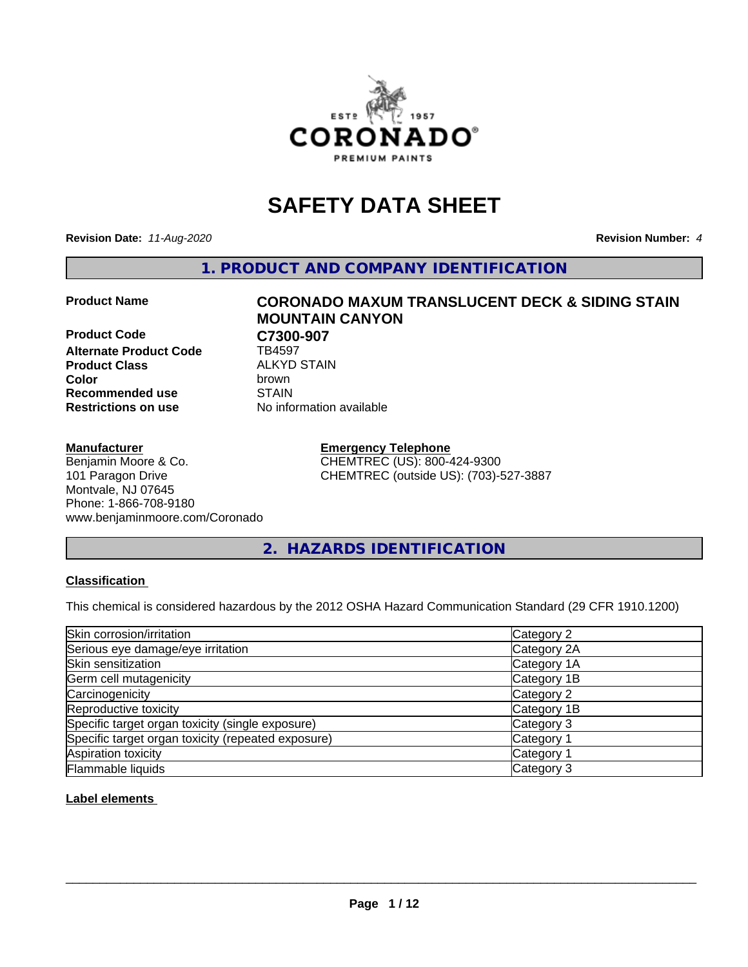

## **SAFETY DATA SHEET**

**Revision Date:** *11-Aug-2020* **Revision Number:** *4*

**1. PRODUCT AND COMPANY IDENTIFICATION**

**Product Code C7300-907**<br>Alternate Product Code **CD** TB4597 **Alternate Product Code Product Class** ALKYD STAIN<br> **Color** brown **Recommended use STAIN Restrictions on use** No information available

# **Product Name CORONADO MAXUM TRANSLUCENT DECK & SIDING STAIN MOUNTAIN CANYON Color** brown

#### **Manufacturer**

Benjamin Moore & Co. 101 Paragon Drive Montvale, NJ 07645 Phone: 1-866-708-9180 www.benjaminmoore.com/Coronado

#### **Emergency Telephone** CHEMTREC (US): 800-424-9300 CHEMTREC (outside US): (703)-527-3887

#### **2. HAZARDS IDENTIFICATION**

#### **Classification**

This chemical is considered hazardous by the 2012 OSHA Hazard Communication Standard (29 CFR 1910.1200)

| Skin corrosion/irritation                          | Category 2            |
|----------------------------------------------------|-----------------------|
| Serious eye damage/eye irritation                  | Category 2A           |
| Skin sensitization                                 | Category 1A           |
| Germ cell mutagenicity                             | Category 1B           |
| Carcinogenicity                                    | Category 2            |
| Reproductive toxicity                              | Category 1B           |
| Specific target organ toxicity (single exposure)   | Category 3            |
| Specific target organ toxicity (repeated exposure) | Category <sup>-</sup> |
| Aspiration toxicity                                | Category 1            |
| Flammable liquids                                  | Category 3            |

#### **Label elements**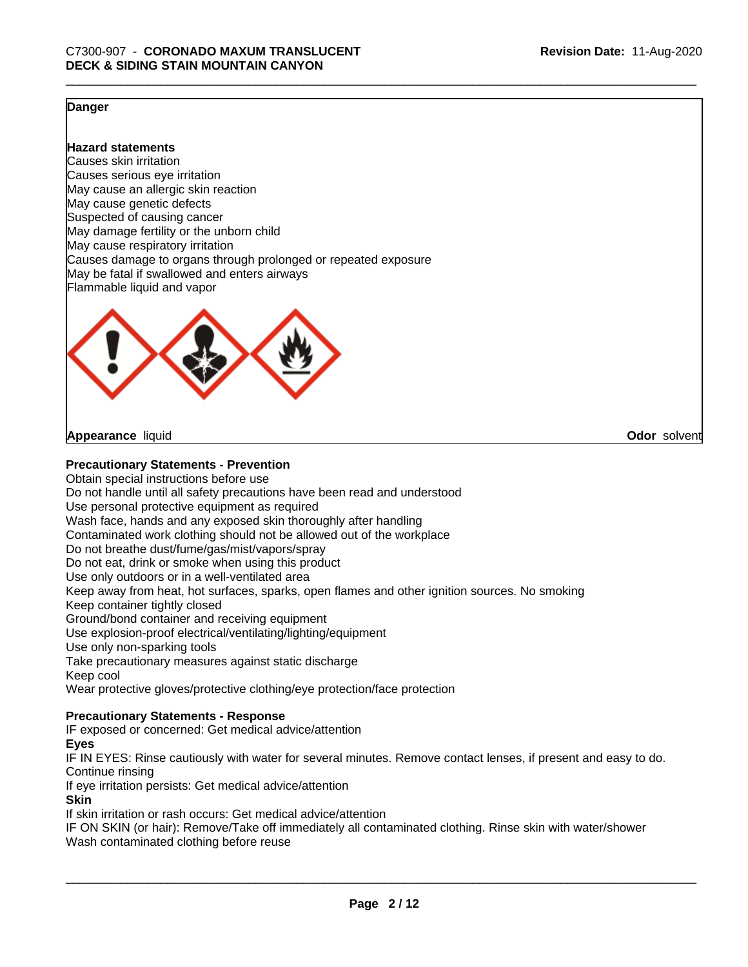**Odor** solvent

#### **Danger**

**Hazard statements**

Causes skin irritation Causes serious eye irritation May cause an allergic skin reaction May cause genetic defects Suspected of causing cancer May damage fertility or the unborn child May cause respiratory irritation Causes damage to organs through prolonged or repeated exposure May be fatal if swallowed and enters airways Flammable liquid and vapor



**Appearance** liquid

#### **Precautionary Statements - Prevention**

Obtain special instructions before use Do not handle until all safety precautions have been read and understood Use personal protective equipment as required Wash face, hands and any exposed skin thoroughly after handling Contaminated work clothing should not be allowed out of the workplace Do not breathe dust/fume/gas/mist/vapors/spray Do not eat, drink or smoke when using this product Use only outdoors or in a well-ventilated area Keep away from heat, hot surfaces, sparks, open flames and other ignition sources. No smoking Keep container tightly closed Ground/bond container and receiving equipment Use explosion-proof electrical/ventilating/lighting/equipment Use only non-sparking tools Take precautionary measures against static discharge Keep cool Wear protective gloves/protective clothing/eye protection/face protection

#### **Precautionary Statements - Response**

IF exposed or concerned: Get medical advice/attention

#### **Eyes**

IF IN EYES: Rinse cautiously with water for several minutes. Remove contact lenses, if present and easy to do. Continue rinsing

If eye irritation persists: Get medical advice/attention

#### **Skin**

If skin irritation or rash occurs: Get medical advice/attention

IF ON SKIN (or hair): Remove/Take off immediately all contaminated clothing. Rinse skin with water/shower Wash contaminated clothing before reuse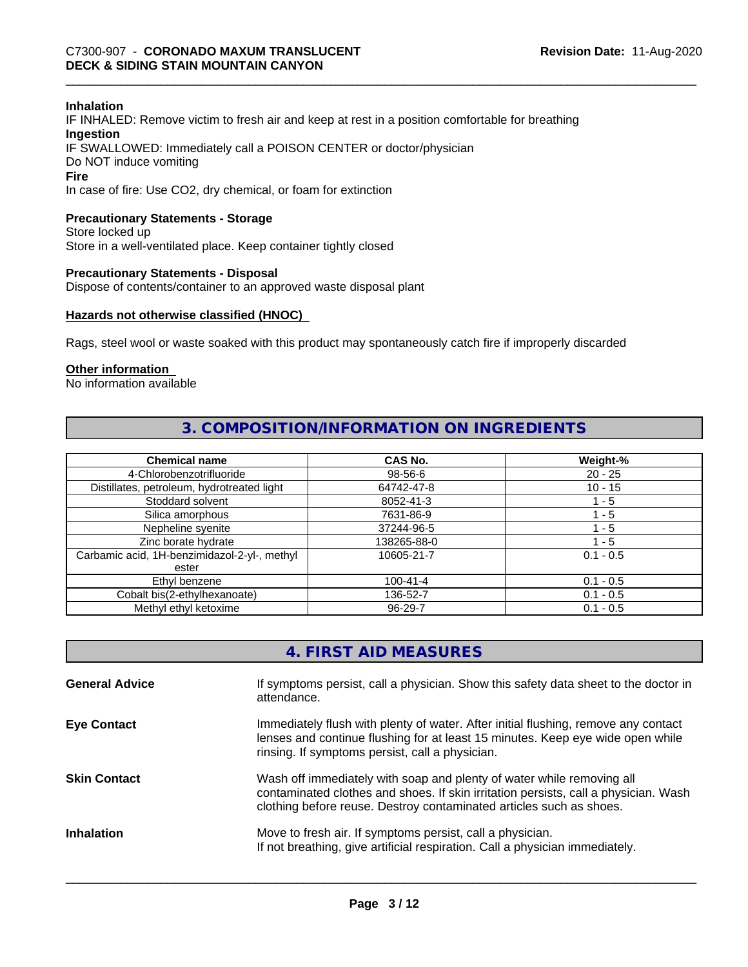#### **Inhalation**

IF INHALED: Remove victim to fresh air and keep at rest in a position comfortable for breathing **Ingestion** IF SWALLOWED: Immediately call a POISON CENTER or doctor/physician Do NOT induce vomiting **Fire**

In case of fire: Use CO2, dry chemical, or foam for extinction

#### **Precautionary Statements - Storage**

Store locked up Store in a well-ventilated place. Keep container tightly closed

#### **Precautionary Statements - Disposal**

Dispose of contents/container to an approved waste disposal plant

#### **Hazards not otherwise classified (HNOC)**

Rags, steel wool or waste soaked with this product may spontaneously catch fire if improperly discarded

#### **Other information**

No information available

#### **3. COMPOSITION/INFORMATION ON INGREDIENTS**

| <b>Chemical name</b>                         | CAS No.        | Weight-%    |
|----------------------------------------------|----------------|-------------|
| 4-Chlorobenzotrifluoride                     | 98-56-6        | $20 - 25$   |
| Distillates, petroleum, hydrotreated light   | 64742-47-8     | $10 - 15$   |
| Stoddard solvent                             | 8052-41-3      | 1 - 5       |
| Silica amorphous                             | 7631-86-9      | 1 - 5       |
| Nepheline syenite                            | 37244-96-5     | ' - 5       |
| Zinc borate hydrate                          | 138265-88-0    | 1 - 5       |
| Carbamic acid, 1H-benzimidazol-2-yl-, methyl | 10605-21-7     | $0.1 - 0.5$ |
| ester                                        |                |             |
| Ethyl benzene                                | $100 - 41 - 4$ | $0.1 - 0.5$ |
| Cobalt bis(2-ethylhexanoate)                 | 136-52-7       | $0.1 - 0.5$ |
| Methyl ethyl ketoxime                        | 96-29-7        | $0.1 - 0.5$ |

| 4. FIRST AID MEASURES |  |
|-----------------------|--|
|-----------------------|--|

| <b>General Advice</b> | If symptoms persist, call a physician. Show this safety data sheet to the doctor in<br>attendance.                                                                                                                                  |
|-----------------------|-------------------------------------------------------------------------------------------------------------------------------------------------------------------------------------------------------------------------------------|
| <b>Eye Contact</b>    | Immediately flush with plenty of water. After initial flushing, remove any contact<br>lenses and continue flushing for at least 15 minutes. Keep eye wide open while<br>rinsing. If symptoms persist, call a physician.             |
| <b>Skin Contact</b>   | Wash off immediately with soap and plenty of water while removing all<br>contaminated clothes and shoes. If skin irritation persists, call a physician. Wash<br>clothing before reuse. Destroy contaminated articles such as shoes. |
| <b>Inhalation</b>     | Move to fresh air. If symptoms persist, call a physician.<br>If not breathing, give artificial respiration. Call a physician immediately.                                                                                           |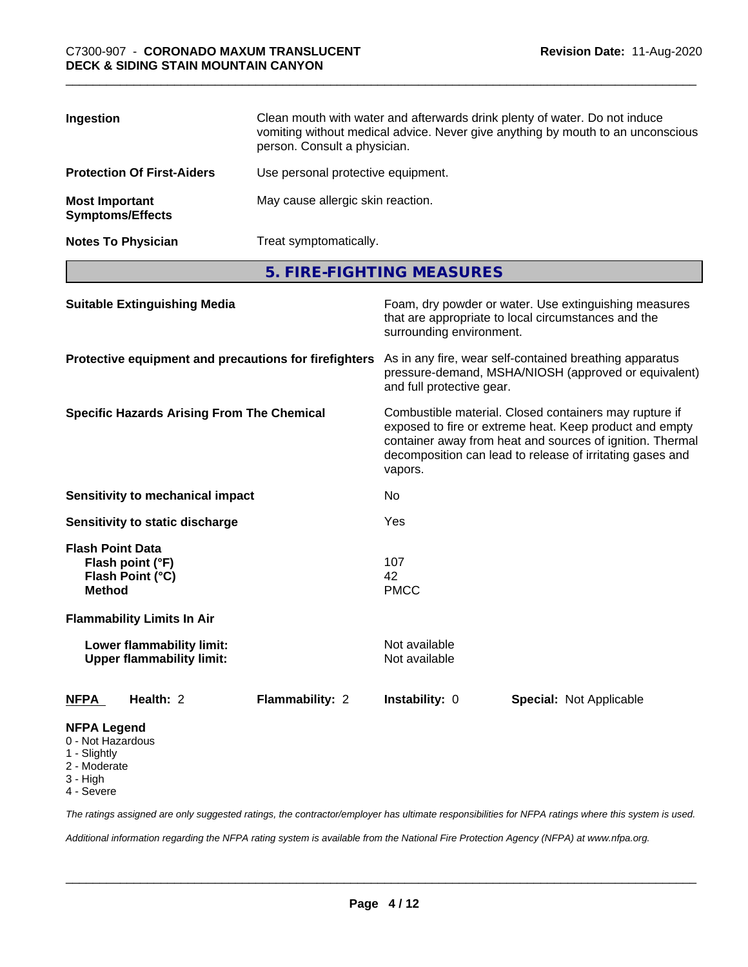| Ingestion                                        | Clean mouth with water and afterwards drink plenty of water. Do not induce<br>vomiting without medical advice. Never give anything by mouth to an unconscious<br>person. Consult a physician. |
|--------------------------------------------------|-----------------------------------------------------------------------------------------------------------------------------------------------------------------------------------------------|
| <b>Protection Of First-Aiders</b>                | Use personal protective equipment.                                                                                                                                                            |
| <b>Most Important</b><br><b>Symptoms/Effects</b> | May cause allergic skin reaction.                                                                                                                                                             |
| <b>Notes To Physician</b>                        | Treat symptomatically.                                                                                                                                                                        |

**5. FIRE-FIGHTING MEASURES**

| <b>Suitable Extinguishing Media</b><br>Protective equipment and precautions for firefighters |                 | Foam, dry powder or water. Use extinguishing measures<br>that are appropriate to local circumstances and the<br>surrounding environment.<br>As in any fire, wear self-contained breathing apparatus<br>pressure-demand, MSHA/NIOSH (approved or equivalent)<br>and full protective gear. |                                |  |
|----------------------------------------------------------------------------------------------|-----------------|------------------------------------------------------------------------------------------------------------------------------------------------------------------------------------------------------------------------------------------------------------------------------------------|--------------------------------|--|
|                                                                                              |                 |                                                                                                                                                                                                                                                                                          |                                |  |
| Sensitivity to mechanical impact                                                             |                 | No                                                                                                                                                                                                                                                                                       |                                |  |
| Sensitivity to static discharge                                                              |                 | Yes                                                                                                                                                                                                                                                                                      |                                |  |
| <b>Flash Point Data</b><br>Flash point (°F)<br>Flash Point (°C)<br><b>Method</b>             |                 | 107<br>42<br><b>PMCC</b>                                                                                                                                                                                                                                                                 |                                |  |
| <b>Flammability Limits In Air</b>                                                            |                 |                                                                                                                                                                                                                                                                                          |                                |  |
| Lower flammability limit:<br><b>Upper flammability limit:</b>                                |                 | Not available<br>Not available                                                                                                                                                                                                                                                           |                                |  |
| Health: 2<br><b>NFPA</b>                                                                     | Flammability: 2 | Instability: 0                                                                                                                                                                                                                                                                           | <b>Special: Not Applicable</b> |  |
| <b>NFPA Legend</b><br>0 - Not Hazardous<br>1 - Slightly<br>2 - Moderate<br>3 - High          |                 |                                                                                                                                                                                                                                                                                          |                                |  |

4 - Severe

*The ratings assigned are only suggested ratings, the contractor/employer has ultimate responsibilities for NFPA ratings where this system is used.*

*Additional information regarding the NFPA rating system is available from the National Fire Protection Agency (NFPA) at www.nfpa.org.*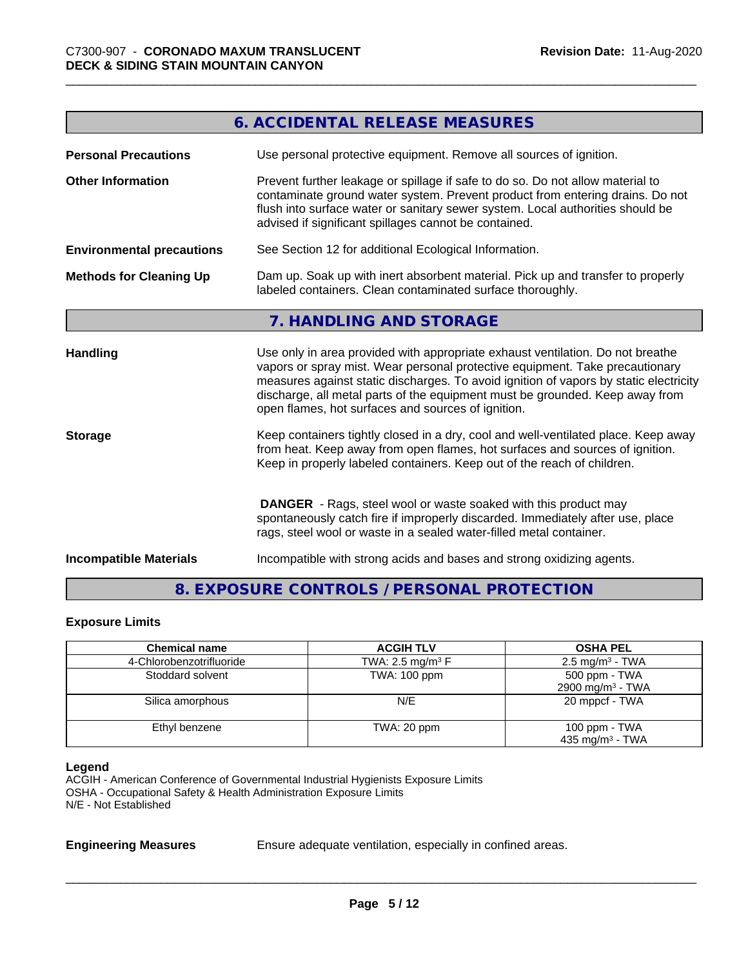|                                  | 6. ACCIDENTAL RELEASE MEASURES                                                                                                                                                                                                                                                                                                                                                                |
|----------------------------------|-----------------------------------------------------------------------------------------------------------------------------------------------------------------------------------------------------------------------------------------------------------------------------------------------------------------------------------------------------------------------------------------------|
| <b>Personal Precautions</b>      | Use personal protective equipment. Remove all sources of ignition.                                                                                                                                                                                                                                                                                                                            |
| <b>Other Information</b>         | Prevent further leakage or spillage if safe to do so. Do not allow material to<br>contaminate ground water system. Prevent product from entering drains. Do not<br>flush into surface water or sanitary sewer system. Local authorities should be<br>advised if significant spillages cannot be contained.                                                                                    |
| <b>Environmental precautions</b> | See Section 12 for additional Ecological Information.                                                                                                                                                                                                                                                                                                                                         |
| <b>Methods for Cleaning Up</b>   | Dam up. Soak up with inert absorbent material. Pick up and transfer to properly<br>labeled containers. Clean contaminated surface thoroughly.                                                                                                                                                                                                                                                 |
|                                  | 7. HANDLING AND STORAGE                                                                                                                                                                                                                                                                                                                                                                       |
| Handling                         | Use only in area provided with appropriate exhaust ventilation. Do not breathe<br>vapors or spray mist. Wear personal protective equipment. Take precautionary<br>measures against static discharges. To avoid ignition of vapors by static electricity<br>discharge, all metal parts of the equipment must be grounded. Keep away from<br>open flames, hot surfaces and sources of ignition. |
| <b>Storage</b>                   | Keep containers tightly closed in a dry, cool and well-ventilated place. Keep away<br>from heat. Keep away from open flames, hot surfaces and sources of ignition.<br>Keep in properly labeled containers. Keep out of the reach of children.                                                                                                                                                 |
|                                  | <b>DANGER</b> - Rags, steel wool or waste soaked with this product may<br>spontaneously catch fire if improperly discarded. Immediately after use, place<br>rags, steel wool or waste in a sealed water-filled metal container.                                                                                                                                                               |
| <b>Incompatible Materials</b>    | Incompatible with strong acids and bases and strong oxidizing agents.                                                                                                                                                                                                                                                                                                                         |
|                                  |                                                                                                                                                                                                                                                                                                                                                                                               |

### **8. EXPOSURE CONTROLS / PERSONAL PROTECTION**

#### **Exposure Limits**

| <b>Chemical name</b>     | <b>ACGIH TLV</b>               | <b>OSHA PEL</b>                                |
|--------------------------|--------------------------------|------------------------------------------------|
| 4-Chlorobenzotrifluoride | TWA: 2.5 mg/m <sup>3</sup> $F$ | $2.5 \text{ mg/m}^3$ - TWA                     |
| Stoddard solvent         | TWA: 100 ppm                   | 500 ppm - TWA<br>2900 mg/m <sup>3</sup> - TWA  |
| Silica amorphous         | N/E                            | 20 mppcf - TWA                                 |
| Ethyl benzene            | TWA: 20 ppm                    | 100 ppm $-$ TWA<br>435 mg/m <sup>3</sup> - TWA |

#### **Legend**

ACGIH - American Conference of Governmental Industrial Hygienists Exposure Limits OSHA - Occupational Safety & Health Administration Exposure Limits N/E - Not Established

**Engineering Measures** Ensure adequate ventilation, especially in confined areas.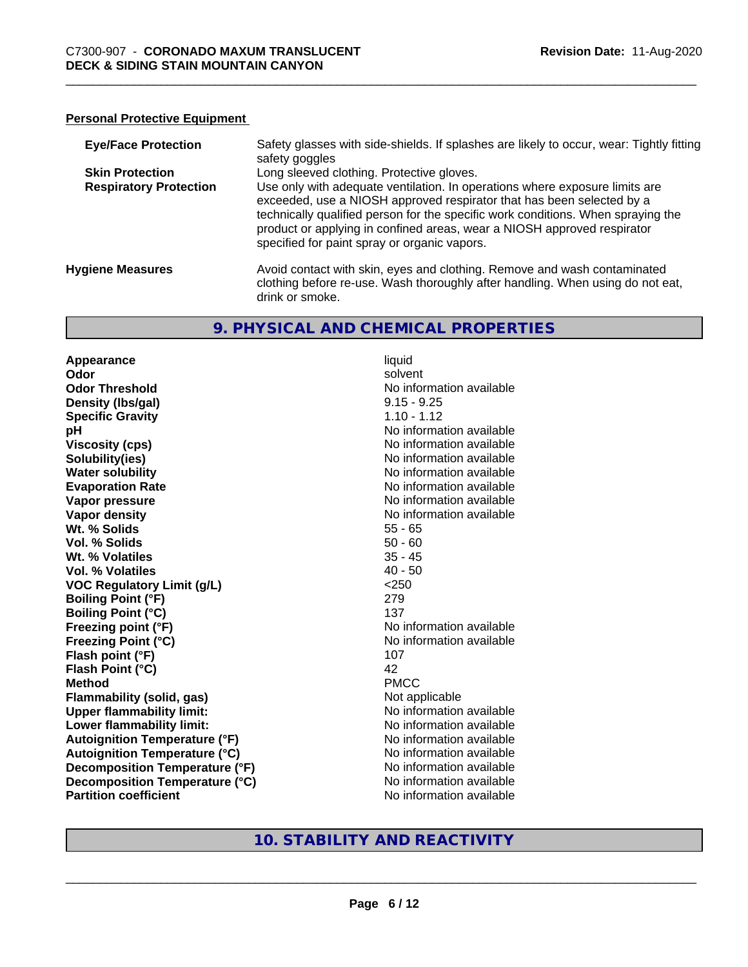#### **Personal Protective Equipment**

| <b>Eye/Face Protection</b>    | Safety glasses with side-shields. If splashes are likely to occur, wear: Tightly fitting<br>safety goggles                                                                                                                                                                                                                                                          |
|-------------------------------|---------------------------------------------------------------------------------------------------------------------------------------------------------------------------------------------------------------------------------------------------------------------------------------------------------------------------------------------------------------------|
| <b>Skin Protection</b>        | Long sleeved clothing. Protective gloves.                                                                                                                                                                                                                                                                                                                           |
| <b>Respiratory Protection</b> | Use only with adequate ventilation. In operations where exposure limits are<br>exceeded, use a NIOSH approved respirator that has been selected by a<br>technically qualified person for the specific work conditions. When spraying the<br>product or applying in confined areas, wear a NIOSH approved respirator<br>specified for paint spray or organic vapors. |
| <b>Hygiene Measures</b>       | Avoid contact with skin, eyes and clothing. Remove and wash contaminated<br>clothing before re-use. Wash thoroughly after handling. When using do not eat,<br>drink or smoke.                                                                                                                                                                                       |

#### **9. PHYSICAL AND CHEMICAL PROPERTIES**

**Appearance** liquid **Odor** solvent **Odor Threshold No information available No information available Density (Ibs/gal)** 9.15 - 9.25 **Specific Gravity** 1.10 - 1.12 **pH** No information available **Viscosity (cps)** No information available Notice 1 **Solubility(ies)**<br> **Solubility**<br> **Water solubility**<br> **Water solubility Evaporation Rate No information available No information available Vapor pressure** No information available **Vapor density No information available No information available Wt. % Solids** 55 - 65 **Vol. % Solids** 50 - 60 **Wt. % Volatiles** 35 - 45 **Vol. % Volatiles** 40 - 50 **VOC Regulatory Limit (g/L)** <250 **Boiling Point (°F)** 279 **Boiling Point (°C)** 137 **Freezing point (°F)** No information available **Freezing Point (°C)** The state of the Mondo No information available **Flash point (°F)** 107 **Flash Point (°C)** 42 **Method** PMCC **Flammability (solid, gas)** Not applicable **Upper flammability limit:** No information available **Lower flammability limit:**<br> **Autoignition Temperature (°F)** No information available **Autoignition Temperature (°F)**<br> **Autoignition Temperature (°C)** 
<br> **Autoignition Temperature (°C)** 
<br> **Autoignition Temperature (°C) Autoignition Temperature (°C) Decomposition Temperature (°F)** No information available **Decomposition Temperature (°C)** No information available **Partition coefficient Community Contract Contract Contract Contract Contract Contract Contract Contract Contract Contract Contract Contract Contract Contract Contract Contract Contract Contract Contract Contract Contr** 

**No information available** 

#### **10. STABILITY AND REACTIVITY**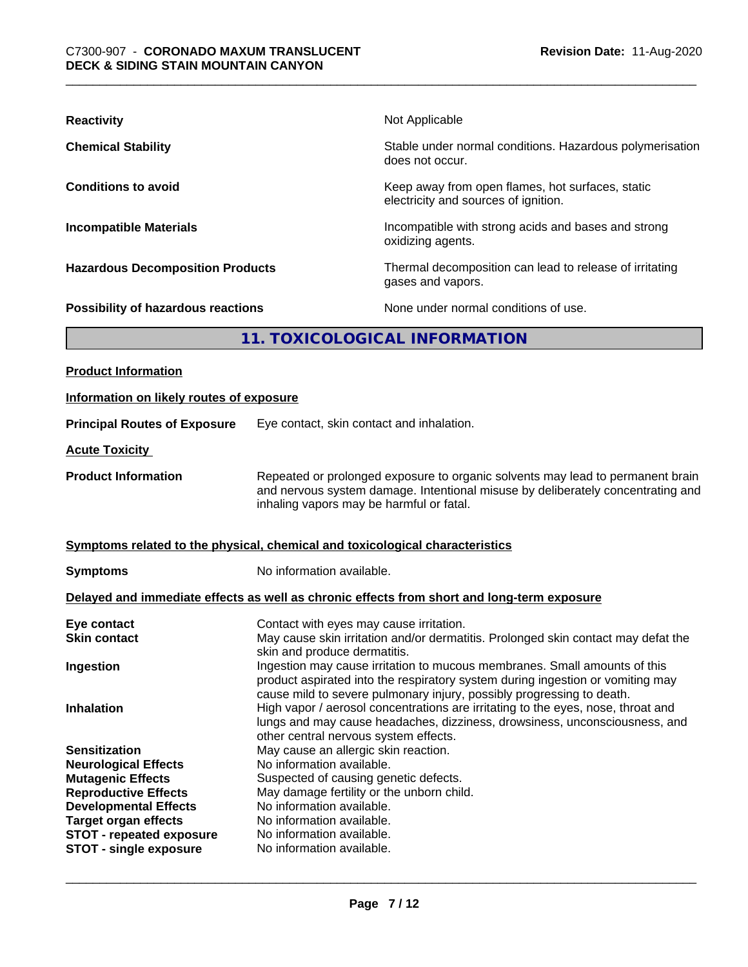| <b>Reactivity</b>                       | Not Applicable                                                                           |
|-----------------------------------------|------------------------------------------------------------------------------------------|
| <b>Chemical Stability</b>               | Stable under normal conditions. Hazardous polymerisation<br>does not occur.              |
| <b>Conditions to avoid</b>              | Keep away from open flames, hot surfaces, static<br>electricity and sources of ignition. |
| <b>Incompatible Materials</b>           | Incompatible with strong acids and bases and strong<br>oxidizing agents.                 |
| <b>Hazardous Decomposition Products</b> | Thermal decomposition can lead to release of irritating<br>gases and vapors.             |
| Possibility of hazardous reactions      | None under normal conditions of use.                                                     |
| 11. TOXICOLOGICAL INFORMATION           |                                                                                          |
|                                         |                                                                                          |

| <b>Product Information</b>                                     |                                                                                                                                                                                                                                      |  |
|----------------------------------------------------------------|--------------------------------------------------------------------------------------------------------------------------------------------------------------------------------------------------------------------------------------|--|
| Information on likely routes of exposure                       |                                                                                                                                                                                                                                      |  |
| <b>Principal Routes of Exposure</b>                            | Eye contact, skin contact and inhalation.                                                                                                                                                                                            |  |
| <b>Acute Toxicity</b>                                          |                                                                                                                                                                                                                                      |  |
| <b>Product Information</b>                                     | Repeated or prolonged exposure to organic solvents may lead to permanent brain<br>and nervous system damage. Intentional misuse by deliberately concentrating and<br>inhaling vapors may be harmful or fatal.                        |  |
|                                                                | Symptoms related to the physical, chemical and toxicological characteristics                                                                                                                                                         |  |
| <b>Symptoms</b>                                                | No information available.                                                                                                                                                                                                            |  |
|                                                                | Delayed and immediate effects as well as chronic effects from short and long-term exposure                                                                                                                                           |  |
| Eye contact<br><b>Skin contact</b>                             | Contact with eyes may cause irritation.<br>May cause skin irritation and/or dermatitis. Prolonged skin contact may defat the<br>skin and produce dermatitis.                                                                         |  |
| Ingestion                                                      | Ingestion may cause irritation to mucous membranes. Small amounts of this<br>product aspirated into the respiratory system during ingestion or vomiting may<br>cause mild to severe pulmonary injury, possibly progressing to death. |  |
| <b>Inhalation</b>                                              | High vapor / aerosol concentrations are irritating to the eyes, nose, throat and<br>lungs and may cause headaches, dizziness, drowsiness, unconsciousness, and<br>other central nervous system effects.                              |  |
| <b>Sensitization</b>                                           | May cause an allergic skin reaction.                                                                                                                                                                                                 |  |
| <b>Neurological Effects</b><br><b>Mutagenic Effects</b>        | No information available.<br>Suspected of causing genetic defects.                                                                                                                                                                   |  |
| <b>Reproductive Effects</b>                                    | May damage fertility or the unborn child.                                                                                                                                                                                            |  |
| <b>Developmental Effects</b>                                   | No information available.                                                                                                                                                                                                            |  |
| <b>Target organ effects</b><br><b>STOT - repeated exposure</b> | No information available.<br>No information available.                                                                                                                                                                               |  |
| <b>STOT - single exposure</b>                                  | No information available.                                                                                                                                                                                                            |  |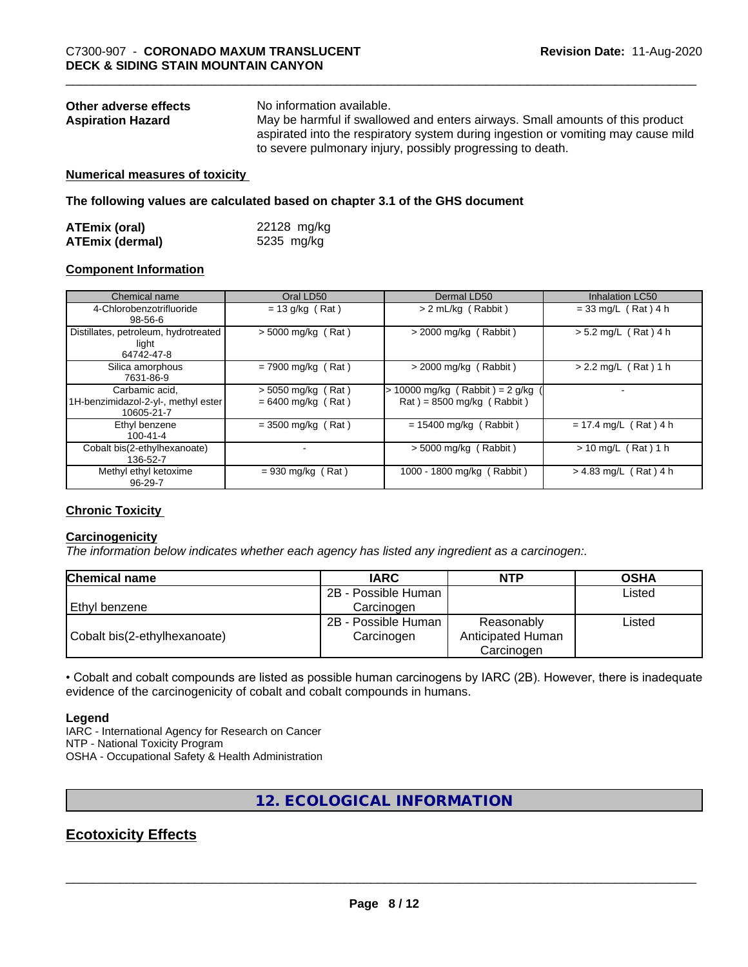| Other adverse effects    | No information available.                                                         |
|--------------------------|-----------------------------------------------------------------------------------|
| <b>Aspiration Hazard</b> | May be harmful if swallowed and enters airways. Small amounts of this product     |
|                          | aspirated into the respiratory system during ingestion or vomiting may cause mild |
|                          | to severe pulmonary injury, possibly progressing to death.                        |

#### **Numerical measures of toxicity**

**The following values are calculated based on chapter 3.1 of the GHS document**

| <b>ATEmix (oral)</b>   | 22128 mg/kg |
|------------------------|-------------|
| <b>ATEmix (dermal)</b> | 5235 mg/kg  |

#### **Component Information**

| Chemical name                                                       | Oral LD50                                  | Dermal LD50                                                      | Inhalation LC50         |
|---------------------------------------------------------------------|--------------------------------------------|------------------------------------------------------------------|-------------------------|
| 4-Chlorobenzotrifluoride<br>98-56-6                                 | $= 13$ g/kg (Rat)                          | > 2 mL/kg (Rabbit)                                               | $= 33$ mg/L (Rat) 4 h   |
| Distillates, petroleum, hydrotreated<br>light<br>64742-47-8         | $> 5000$ mg/kg (Rat)                       | > 2000 mg/kg (Rabbit)                                            | $> 5.2$ mg/L (Rat) 4 h  |
| Silica amorphous<br>7631-86-9                                       | $= 7900$ mg/kg (Rat)                       | $>$ 2000 mg/kg (Rabbit)                                          | $> 2.2$ mg/L (Rat) 1 h  |
| Carbamic acid.<br>1H-benzimidazol-2-yl-, methyl ester<br>10605-21-7 | > 5050 mg/kg (Rat)<br>$= 6400$ mg/kg (Rat) | $> 10000$ mg/kg (Rabbit) = 2 g/kg<br>$Rat$ = 8500 mg/kg (Rabbit) |                         |
| Ethyl benzene<br>$100 - 41 - 4$                                     | $=$ 3500 mg/kg (Rat)                       | $= 15400$ mg/kg (Rabbit)                                         | $= 17.4$ mg/L (Rat) 4 h |
| Cobalt bis(2-ethylhexanoate)<br>136-52-7                            |                                            | $> 5000$ mg/kg (Rabbit)                                          | $> 10$ mg/L (Rat) 1 h   |
| Methyl ethyl ketoxime<br>$96 - 29 - 7$                              | $= 930$ mg/kg (Rat)                        | 1000 - 1800 mg/kg (Rabbit)                                       | $> 4.83$ mg/L (Rat) 4 h |

#### **Chronic Toxicity**

#### **Carcinogenicity**

*The information below indicateswhether each agency has listed any ingredient as a carcinogen:.*

| <b>Chemical name</b>         | <b>IARC</b>         | <b>NTP</b>        | <b>OSHA</b> |  |
|------------------------------|---------------------|-------------------|-------------|--|
|                              | 2B - Possible Human |                   | Listed      |  |
| l Ethvl benzene              | Carcinogen          |                   |             |  |
|                              | 2B - Possible Human | Reasonably        | Listed      |  |
| Cobalt bis(2-ethylhexanoate) | Carcinogen          | Anticipated Human |             |  |
|                              |                     | Carcinogen        |             |  |

• Cobalt and cobalt compounds are listed as possible human carcinogens by IARC (2B). However, there is inadequate evidence of the carcinogenicity of cobalt and cobalt compounds in humans.

#### **Legend**

IARC - International Agency for Research on Cancer NTP - National Toxicity Program OSHA - Occupational Safety & Health Administration

#### **12. ECOLOGICAL INFORMATION**

#### **Ecotoxicity Effects**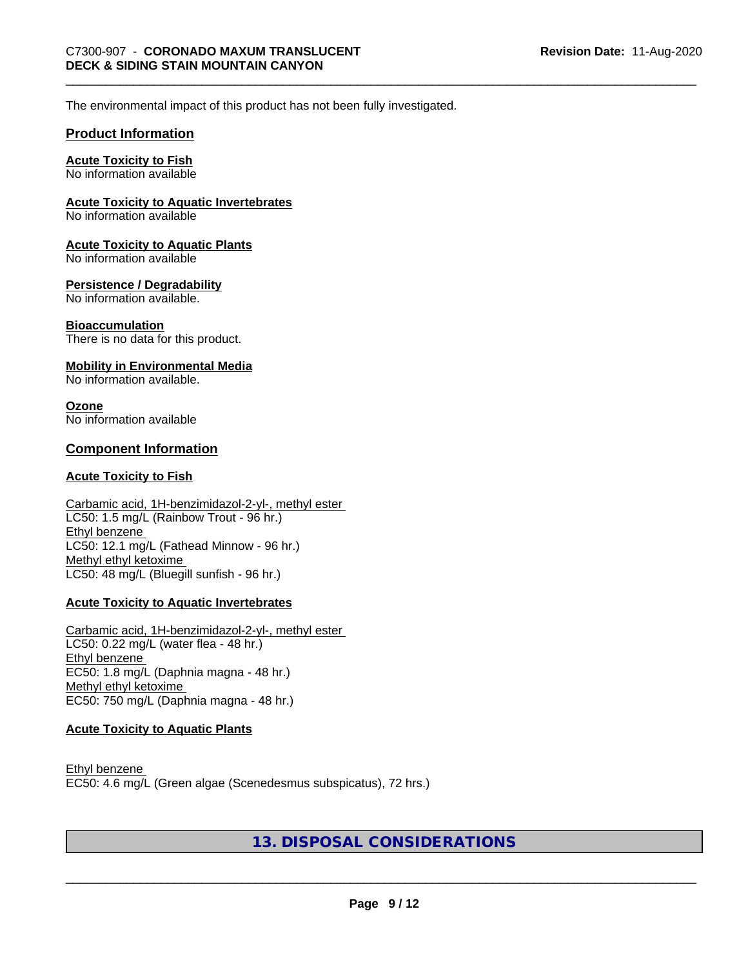The environmental impact of this product has not been fully investigated.

#### **Product Information**

#### **Acute Toxicity to Fish**

No information available

#### **Acute Toxicity to Aquatic Invertebrates**

No information available

#### **Acute Toxicity to Aquatic Plants**

No information available

#### **Persistence / Degradability**

No information available.

#### **Bioaccumulation**

There is no data for this product.

#### **Mobility in Environmental Media**

No information available.

#### **Ozone**

No information available

#### **Component Information**

#### **Acute Toxicity to Fish**

#### Carbamic acid, 1H-benzimidazol-2-yl-, methyl ester LC50: 1.5 mg/L (Rainbow Trout - 96 hr.) Ethyl benzene LC50: 12.1 mg/L (Fathead Minnow - 96 hr.) Methyl ethyl ketoxime LC50: 48 mg/L (Bluegill sunfish - 96 hr.)

#### **Acute Toxicity to Aquatic Invertebrates**

Carbamic acid, 1H-benzimidazol-2-yl-, methyl ester LC50: 0.22 mg/L (water flea - 48 hr.) Ethyl benzene EC50: 1.8 mg/L (Daphnia magna - 48 hr.) Methyl ethyl ketoxime EC50: 750 mg/L (Daphnia magna - 48 hr.)

#### **Acute Toxicity to Aquatic Plants**

Ethyl benzene EC50: 4.6 mg/L (Green algae (Scenedesmus subspicatus), 72 hrs.)

#### **13. DISPOSAL CONSIDERATIONS**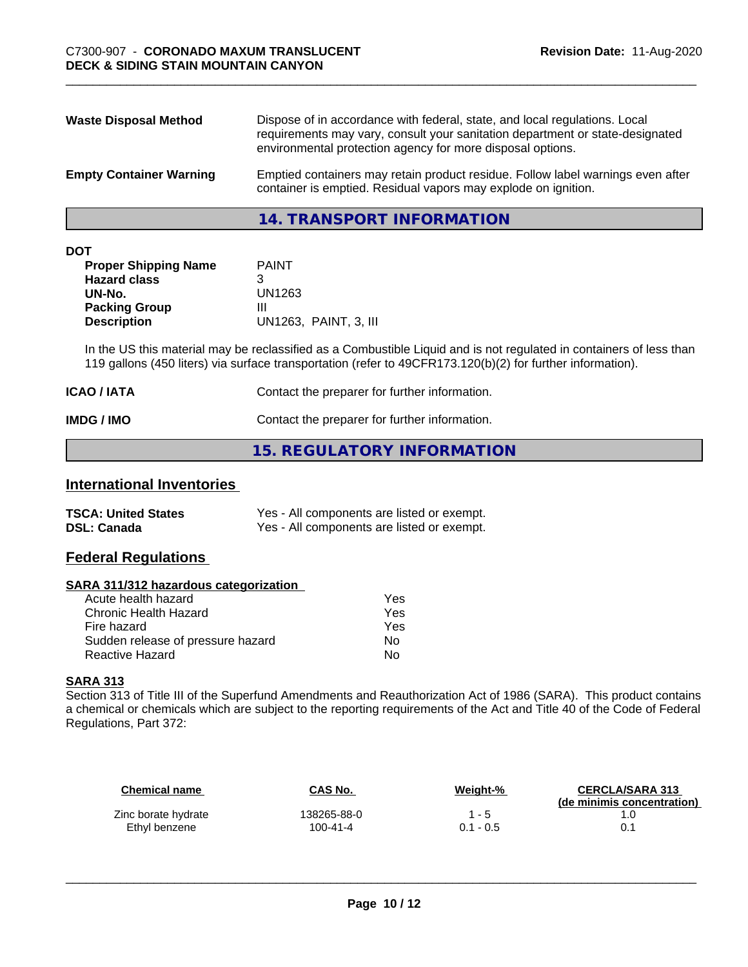| <b>Waste Disposal Method</b>   | Dispose of in accordance with federal, state, and local regulations. Local<br>requirements may vary, consult your sanitation department or state-designated<br>environmental protection agency for more disposal options. |
|--------------------------------|---------------------------------------------------------------------------------------------------------------------------------------------------------------------------------------------------------------------------|
| <b>Empty Container Warning</b> | Emptied containers may retain product residue. Follow label warnings even after<br>container is emptied. Residual vapors may explode on ignition.                                                                         |

**14. TRANSPORT INFORMATION**

| ۰. | ×<br>×<br>٠ |  |
|----|-------------|--|

| <b>PAINT</b>          |
|-----------------------|
|                       |
| UN1263                |
| Ш                     |
| UN1263, PAINT, 3, III |
|                       |

In the US this material may be reclassified as a Combustible Liquid and is not regulated in containers of less than 119 gallons (450 liters) via surface transportation (refer to 49CFR173.120(b)(2) for further information).

| <b>ICAO / IATA</b> | Contact the preparer for further information. |
|--------------------|-----------------------------------------------|
| IMDG / IMO         | Contact the preparer for further information. |

#### **15. REGULATORY INFORMATION**

#### **International Inventories**

| <b>TSCA: United States</b> | Yes - All components are listed or exempt. |
|----------------------------|--------------------------------------------|
| <b>DSL: Canada</b>         | Yes - All components are listed or exempt. |

#### **Federal Regulations**

#### **SARA 311/312 hazardous categorization**

| Yes |
|-----|
| Yes |
| Yes |
| Nο  |
| N٥  |
|     |

#### **SARA 313**

Section 313 of Title III of the Superfund Amendments and Reauthorization Act of 1986 (SARA). This product contains a chemical or chemicals which are subject to the reporting requirements of the Act and Title 40 of the Code of Federal Regulations, Part 372:

| Chemical name       | CAS No.        | Weight-%    | <b>CERCLA/SARA 313</b><br>(de minimis concentration) |
|---------------------|----------------|-------------|------------------------------------------------------|
| Zinc borate hydrate | 138265-88-0    | 1 - 5       |                                                      |
| Ethyl benzene       | $100 - 41 - 4$ | $0.1 - 0.5$ |                                                      |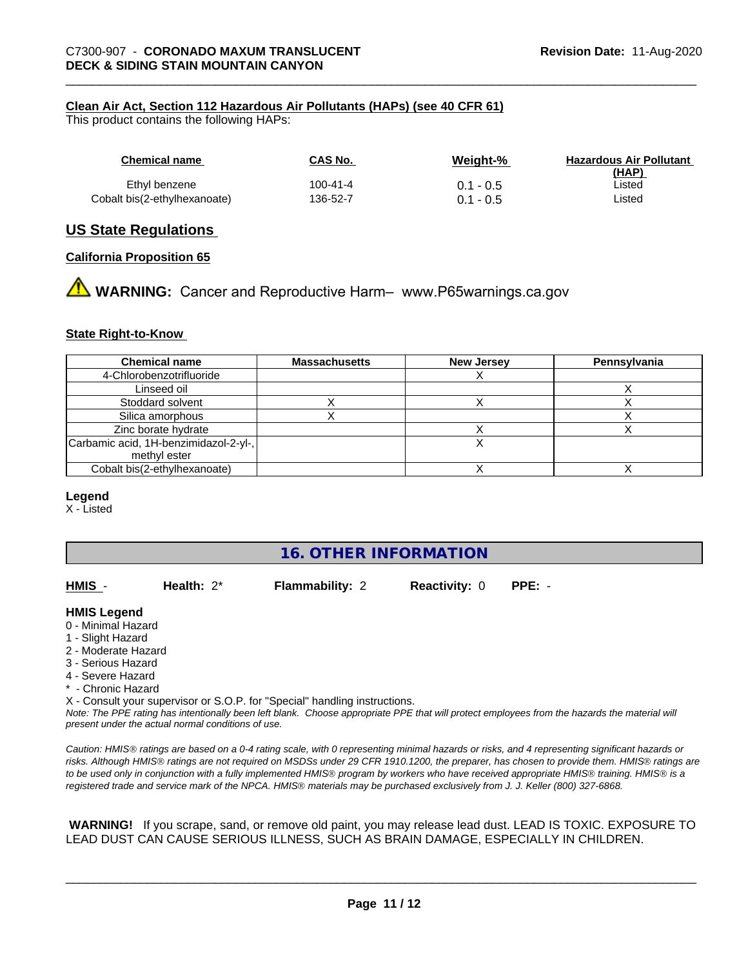#### **Clean Air Act,Section 112 Hazardous Air Pollutants (HAPs) (see 40 CFR 61)**

This product contains the following HAPs:

| Chemical name                | CAS No.  | Weight-%    | <b>Hazardous Air Pollutant</b><br>(HAP) |
|------------------------------|----------|-------------|-----------------------------------------|
| Ethyl benzene                | 100-41-4 | $0.1 - 0.5$ | ∟isted                                  |
| Cobalt bis(2-ethylhexanoate) | 136-52-7 | $0.1 - 0.5$ | Listed                                  |

#### **US State Regulations**

#### **California Proposition 65**

**WARNING:** Cancer and Reproductive Harm– www.P65warnings.ca.gov

#### **State Right-to-Know**

| <b>Chemical name</b>                                  | <b>Massachusetts</b> | <b>New Jersey</b> | Pennsylvania |
|-------------------------------------------------------|----------------------|-------------------|--------------|
| 4-Chlorobenzotrifluoride                              |                      |                   |              |
| Linseed oil                                           |                      |                   |              |
| Stoddard solvent                                      |                      |                   |              |
| Silica amorphous                                      |                      |                   |              |
| Zinc borate hydrate                                   |                      |                   |              |
| Carbamic acid, 1H-benzimidazol-2-yl-,<br>methyl ester |                      |                   |              |
| Cobalt bis(2-ethylhexanoate)                          |                      |                   |              |

#### **Legend**

X - Listed

#### **16. OTHER INFORMATION**

**HMIS** - **Health:** 2\* **Flammability:** 2 **Reactivity:** 0 **PPE:** -

#### **HMIS Legend**

- 0 Minimal Hazard
- 1 Slight Hazard
- 2 Moderate Hazard
- 3 Serious Hazard
- 4 Severe Hazard
- \* Chronic Hazard

X - Consult your supervisor or S.O.P. for "Special" handling instructions.

*Note: The PPE rating has intentionally been left blank. Choose appropriate PPE that will protect employees from the hazards the material will present under the actual normal conditions of use.*

*Caution: HMISÒ ratings are based on a 0-4 rating scale, with 0 representing minimal hazards or risks, and 4 representing significant hazards or risks. Although HMISÒ ratings are not required on MSDSs under 29 CFR 1910.1200, the preparer, has chosen to provide them. HMISÒ ratings are to be used only in conjunction with a fully implemented HMISÒ program by workers who have received appropriate HMISÒ training. HMISÒ is a registered trade and service mark of the NPCA. HMISÒ materials may be purchased exclusively from J. J. Keller (800) 327-6868.*

 **WARNING!** If you scrape, sand, or remove old paint, you may release lead dust. LEAD IS TOXIC. EXPOSURE TO LEAD DUST CAN CAUSE SERIOUS ILLNESS, SUCH AS BRAIN DAMAGE, ESPECIALLY IN CHILDREN.